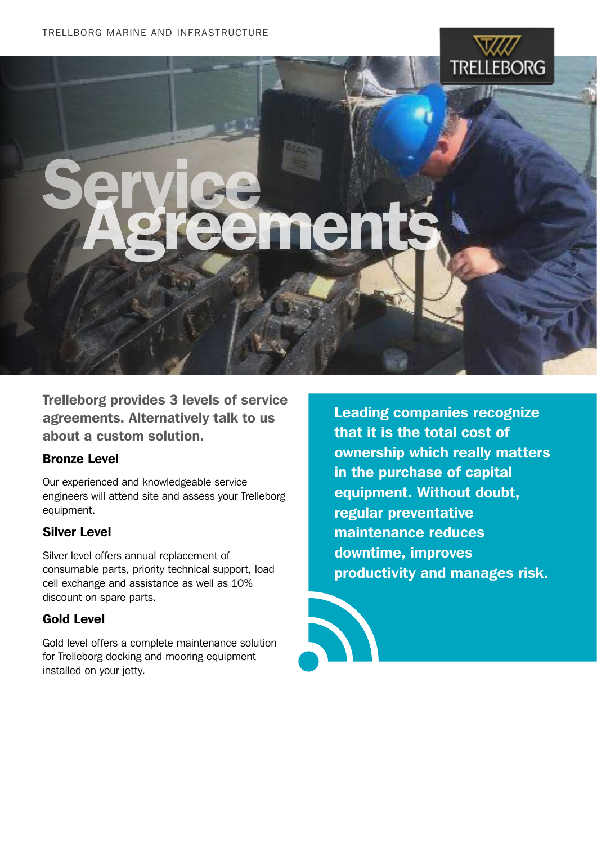

# Service<br>Agreements

Trelleborg provides 3 levels of service agreements. Alternatively talk to us about a custom solution.

# Bronze Level

Our experienced and knowledgeable service engineers will attend site and assess your Trelleborg equipment.

# Silver Level

Silver level offers annual replacement of consumable parts, priority technical support, load cell exchange and assistance as well as 10% discount on spare parts.

# Gold Level

Gold level offers a complete maintenance solution for Trelleborg docking and mooring equipment installed on your jetty.

Leading companies recognize that it is the total cost of ownership which really matters in the purchase of capital equipment. Without doubt, regular preventative maintenance reduces downtime, improves productivity and manages risk.